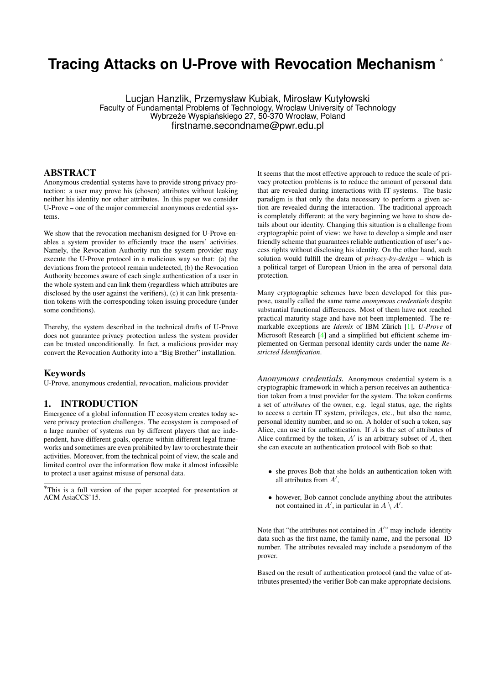# **Tracing Attacks on U-Prove with Revocation Mechanism** <sup>∗</sup>

Lucjan Hanzlik, Przemysław Kubiak, Mirosław Kutyłowski Faculty of Fundamental Problems of Technology, Wrocław University of Technology Wybrzeże Wyspiańskiego 27, 50-370 Wrocław, Poland firstname.secondname@pwr.edu.pl

# ABSTRACT

Anonymous credential systems have to provide strong privacy protection: a user may prove his (chosen) attributes without leaking neither his identity nor other attributes. In this paper we consider U-Prove – one of the major commercial anonymous credential systems.

We show that the revocation mechanism designed for U-Prove enables a system provider to efficiently trace the users' activities. Namely, the Revocation Authority run the system provider may execute the U-Prove protocol in a malicious way so that: (a) the deviations from the protocol remain undetected, (b) the Revocation Authority becomes aware of each single authentication of a user in the whole system and can link them (regardless which attributes are disclosed by the user against the verifiers), (c) it can link presentation tokens with the corresponding token issuing procedure (under some conditions).

Thereby, the system described in the technical drafts of U-Prove does not guarantee privacy protection unless the system provider can be trusted unconditionally. In fact, a malicious provider may convert the Revocation Authority into a "Big Brother" installation.

#### Keywords

U-Prove, anonymous credential, revocation, malicious provider

# 1. INTRODUCTION

Emergence of a global information IT ecosystem creates today severe privacy protection challenges. The ecosystem is composed of a large number of systems run by different players that are independent, have different goals, operate within different legal frameworks and sometimes are even prohibited by law to orchestrate their activities. Moreover, from the technical point of view, the scale and limited control over the information flow make it almost infeasible to protect a user against misuse of personal data.

It seems that the most effective approach to reduce the scale of privacy protection problems is to reduce the amount of personal data that are revealed during interactions with IT systems. The basic paradigm is that only the data necessary to perform a given action are revealed during the interaction. The traditional approach is completely different: at the very beginning we have to show details about our identity. Changing this situation is a challenge from cryptographic point of view: we have to develop a simple and user friendly scheme that guarantees reliable authentication of user's access rights without disclosing his identity. On the other hand, such solution would fulfill the dream of *privacy-by-design* – which is a political target of European Union in the area of personal data protection.

Many cryptographic schemes have been developed for this purpose, usually called the same name *anonymous credentials* despite substantial functional differences. Most of them have not reached practical maturity stage and have not been implemented. The remarkable exceptions are *Idemix* of IBM Zürich [\[1\]](#page-10-0), *U-Prove* of Microsoft Research [\[4\]](#page-10-1) and a simplified but efficient scheme implemented on German personal identity cards under the name *Restricted Identification*.

*Anonymous credentials.* Anonymous credential system is a cryptographic framework in which a person receives an authentication token from a trust provider for the system. The token confirms a set of *attributes* of the owner, e.g. legal status, age, the rights to access a certain IT system, privileges, etc., but also the name, personal identity number, and so on. A holder of such a token, say Alice, can use it for authentication. If A is the set of attributes of Alice confirmed by the token,  $A'$  is an arbitrary subset of  $A$ , then she can execute an authentication protocol with Bob so that:

- she proves Bob that she holds an authentication token with all attributes from  $A'$ ,
- however, Bob cannot conclude anything about the attributes not contained in A', in particular in  $A \setminus A'$ .

Note that "the attributes not contained in  $A''$  may include identity data such as the first name, the family name, and the personal ID number. The attributes revealed may include a pseudonym of the prover.

Based on the result of authentication protocol (and the value of attributes presented) the verifier Bob can make appropriate decisions.

<sup>∗</sup>This is a full version of the paper accepted for presentation at ACM AsiaCCS'15.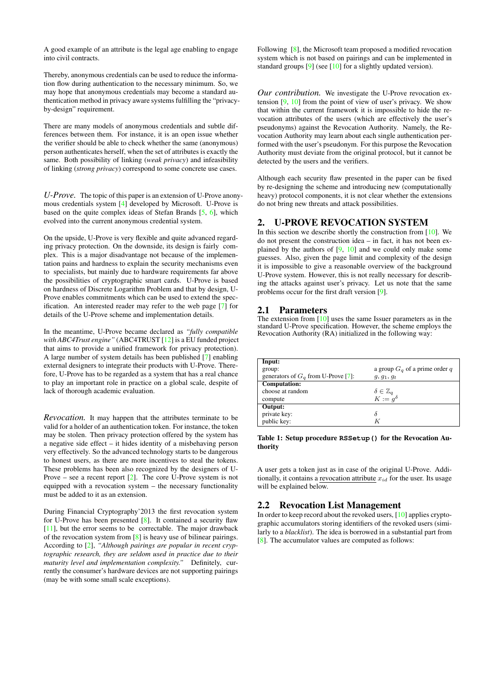A good example of an attribute is the legal age enabling to engage into civil contracts.

Thereby, anonymous credentials can be used to reduce the information flow during authentication to the necessary minimum. So, we may hope that anonymous credentials may become a standard authentication method in privacy aware systems fulfilling the "privacyby-design" requirement.

There are many models of anonymous credentials and subtle differences between them. For instance, it is an open issue whether the verifier should be able to check whether the same (anonymous) person authenticates herself, when the set of attributes is exactly the same. Both possibility of linking (*weak privacy*) and infeasibility of linking (*strong privacy*) correspond to some concrete use cases.

*U-Prove.* The topic of this paper is an extension of U-Prove anonymous credentials system [\[4\]](#page-10-1) developed by Microsoft. U-Prove is based on the quite complex ideas of Stefan Brands [\[5,](#page-10-2) [6\]](#page-10-3), which evolved into the current anonymous credential system.

On the upside, U-Prove is very flexible and quite advanced regarding privacy protection. On the downside, its design is fairly complex. This is a major disadvantage not because of the implementation pains and hardness to explain the security mechanisms even to specialists, but mainly due to hardware requirements far above the possibilities of cryptographic smart cards. U-Prove is based on hardness of Discrete Logarithm Problem and that by design, U-Prove enables commitments which can be used to extend the specification. An interested reader may refer to the web page [\[7\]](#page-10-4) for details of the U-Prove scheme and implementation details.

In the meantime, U-Prove became declared as *"fully compatible with ABC4Trust engine"* (ABC4TRUST [\[12\]](#page-10-5) is a EU funded project that aims to provide a unified framework for privacy protection). A large number of system details has been published [\[7\]](#page-10-4) enabling external designers to integrate their products with U-Prove. Therefore, U-Prove has to be regarded as a system that has a real chance to play an important role in practice on a global scale, despite of lack of thorough academic evaluation.

*Revocation.* It may happen that the attributes terminate to be valid for a holder of an authentication token. For instance, the token may be stolen. Then privacy protection offered by the system has a negative side effect – it hides identity of a misbehaving person very effectively. So the advanced technology starts to be dangerous to honest users, as there are more incentives to steal the tokens. These problems has been also recognized by the designers of U-Prove – see a recent report  $[2]$ . The core U-Prove system is not equipped with a revocation system – the necessary functionality must be added to it as an extension.

During Financial Cryptography'2013 the first revocation system for U-Prove has been presented [\[8\]](#page-10-7). It contained a security flaw [\[11\]](#page-10-8), but the error seems to be correctable. The major drawback of the revocation system from [\[8\]](#page-10-7) is heavy use of bilinear pairings. According to [\[2\]](#page-10-6), *"Although pairings are popular in recent cryptographic research, they are seldom used in practice due to their maturity level and implementation complexity."* Definitely, currently the consumer's hardware devices are not supporting pairings (may be with some small scale exceptions).

Following [\[8\]](#page-10-7), the Microsoft team proposed a modified revocation system which is not based on pairings and can be implemented in standard groups [\[9\]](#page-10-9) (see [\[10\]](#page-10-10) for a slightly updated version).

*Our contribution.* We investigate the U-Prove revocation extension  $[9, 10]$  $[9, 10]$  $[9, 10]$  from the point of view of user's privacy. We show that within the current framework it is impossible to hide the revocation attributes of the users (which are effectively the user's pseudonyms) against the Revocation Authority. Namely, the Revocation Authority may learn about each single authentication performed with the user's pseudonym. For this purpose the Revocation Authority must deviate from the original protocol, but it cannot be detected by the users and the verifiers.

Although each security flaw presented in the paper can be fixed by re-designing the scheme and introducing new (computationally heavy) protocol components, it is not clear whether the extensions do not bring new threats and attack possibilities.

## <span id="page-1-1"></span>2. U-PROVE REVOCATION SYSTEM

In this section we describe shortly the construction from  $[10]$ . We do not present the construction idea – in fact, it has not been explained by the authors of [\[9,](#page-10-9) [10\]](#page-10-10) and we could only make some guesses. Also, given the page limit and complexity of the design it is impossible to give a reasonable overview of the background U-Prove system. However, this is not really necessary for describing the attacks against user's privacy. Let us note that the same problems occur for the first draft version [\[9\]](#page-10-9).

### 2.1 Parameters

The extension from [\[10\]](#page-10-10) uses the same Issuer parameters as in the standard U-Prove specification. However, the scheme employs the Revocation Authority (RA) initialized in the following way:

<span id="page-1-0"></span>

| Input:                               |                                                                           |
|--------------------------------------|---------------------------------------------------------------------------|
| group:                               | a group $Ga$ of a prime order q                                           |
| generators of $Ga$ from U-Prove [7]: | $g, g_1, g_t$                                                             |
| <b>Computation:</b>                  |                                                                           |
| choose at random                     | $\begin{array}{l}\n\delta \in \mathbb{Z}_q \\ K := g^\delta\n\end{array}$ |
| compute                              |                                                                           |
| Output:                              |                                                                           |
| private key:                         | δ                                                                         |
| public key:                          | K                                                                         |

#### Table 1: Setup procedure **RSSetup()** for the Revocation Authority

A user gets a token just as in case of the original U-Prove. Additionally, it contains a revocation attribute  $x_{id}$  for the user. Its usage will be explained below.

# 2.2 Revocation List Management

In order to keep record about the revoked users, [\[10\]](#page-10-10) applies cryptographic accumulators storing identifiers of the revoked users (similarly to a *blacklist*). The idea is borrowed in a substantial part from [\[8\]](#page-10-7). The accumulator values are computed as follows: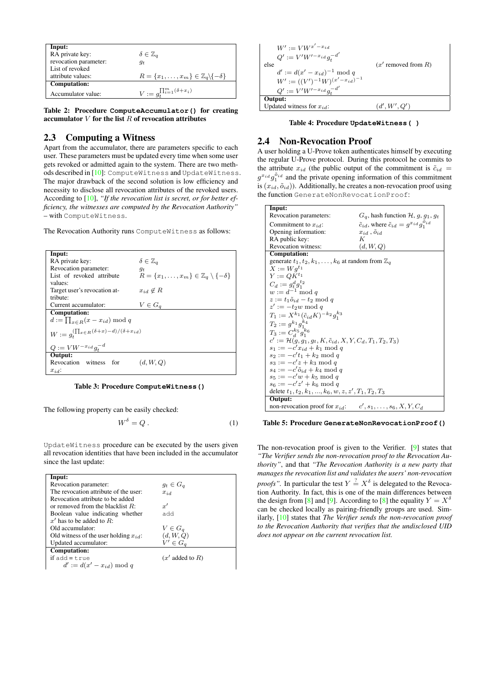| Input:                |                                                                    |
|-----------------------|--------------------------------------------------------------------|
| RA private key:       | $\delta \in \mathbb{Z}_q$                                          |
| revocation parameter: | $q_t$                                                              |
| List of revoked       |                                                                    |
| attribute values:     | $R = \{x_1, \ldots, x_m\} \in \mathbb{Z}_q \backslash \{-\delta\}$ |
| Computation:          |                                                                    |
| Accumulator value:    | $V := g_t^{\prod_{i=1}^{m}(\delta + x_i)}$                         |

Table 2: Procedure **ComputeAccumulator()** for creating accumulator  $V$  for the list  $R$  of revocation attributes

# 2.3 Computing a Witness

Apart from the accumulator, there are parameters specific to each user. These parameters must be updated every time when some user gets revoked or admitted again to the system. There are two methods described in [\[10\]](#page-10-10): ComputeWitness and UpdateWitness. The major drawback of the second solution is low efficiency and necessity to disclose all revocation attributes of the revoked users. According to [\[10\]](#page-10-10), *"If the revocation list is secret, or for better efficiency, the witnesses are computed by the Revocation Authority"* – with ComputeWitness.

The Revocation Authority runs ComputeWitness as follows:

| Input:                                                                         |                                                                   |
|--------------------------------------------------------------------------------|-------------------------------------------------------------------|
| RA private key:                                                                | $\delta \in \mathbb{Z}_q$                                         |
| Revocation parameter:                                                          | $g_t$                                                             |
| List of revoked attribute                                                      | $R = \{x_1, \ldots, x_m\} \in \mathbb{Z}_q \setminus \{-\delta\}$ |
| values:                                                                        |                                                                   |
| Target user's revocation at-                                                   | $x_{id} \notin R$                                                 |
| tribute:                                                                       |                                                                   |
| Current accumulator:                                                           | $V \in G_q$                                                       |
| Computation:                                                                   |                                                                   |
| $d := \prod_{x \in R} (x - x_{id}) \bmod q$                                    |                                                                   |
| $W:=g_{\scriptscriptstyle \!+}^{(\prod_{x\in R}(\delta+x)-d)/(\delta+x_{id})}$ |                                                                   |
| $Q := VW^{-x_{id}} g_t^{-d}$                                                   |                                                                   |
| Output:                                                                        |                                                                   |
| Revocation witness for                                                         | (d, W, Q)                                                         |
| $x_{id}$ :                                                                     |                                                                   |

Table 3: Procedure **ComputeWitness()**

The following property can be easily checked:

<span id="page-2-1"></span>
$$
W^{\delta} = Q. \tag{1}
$$

UpdateWitness procedure can be executed by the users given all revocation identities that have been included in the accumulator since the last update:

| Input:                                     |                             |
|--------------------------------------------|-----------------------------|
| Revocation parameter:                      | $q_t \in G_q$               |
| The revocation attribute of the user:      | $x_{id}$                    |
| Revocation attribute to be added           |                             |
| or removed from the blacklist $R$ :        | x'                          |
| Boolean value indicating whether           | hba                         |
| $x'$ has to be added to R:                 |                             |
| Old accumulator:                           | $V \in G_q$                 |
| Old witness of the user holding $x_{id}$ : | $(d, W, Q)$<br>$V' \in G_q$ |
| Updated accumulator:                       |                             |
| <b>Computation:</b>                        |                             |
| if add = t.rue                             | $(x'$ added to R)           |
| $d' := d(x' - x_{id}) \bmod q$             |                             |

| $W' := VW^{x'-x_{id}}$<br>$Q' := V'W'^{-x_{id}}g_t^{-d'}$<br>else<br>$d' := d(x' - x_{id})^{-1} \bmod q$<br>$W' := ((V')^{-1}W)^{(x'-x_{id})^{-1}}$<br>$Q' := V'W'^{-x_{id}}g_t^{-d'}$ | $(x'$ removed from $R$ ) |
|----------------------------------------------------------------------------------------------------------------------------------------------------------------------------------------|--------------------------|
| Output:<br>  Updated witness for $x_{id}$ :                                                                                                                                            | (d', W', Q')             |

Table 4: Procedure **UpdateWitness( )**

# 2.4 Non-Revocation Proof

A user holding a U-Prove token authenticates himself by executing the regular U-Prove protocol. During this protocol he commits to the attribute  $x_{id}$  (the public output of the commitment is  $\tilde{c}_{id}$  =  $g^{x_{id}} g_1^{\delta_{id}}$  and the private opening information of this commitment is  $(x_{id}, \tilde{o}_{id})$ ). Additionally, he creates a non-revocation proof using the function GenerateNonRevocationProof:

| Input:                                                                        |                                                                     |
|-------------------------------------------------------------------------------|---------------------------------------------------------------------|
| Revocation parameters:                                                        | $G_q$ , hash function $H$ , $g$ , $g_1$ , $g_t$                     |
| Commitment to $x_{id}$ :                                                      | $\tilde{c}_{id}$ , where $\tilde{c}_{id} = g^{x_{id}} g_1^{o_{id}}$ |
| Opening information:                                                          | $x_{id}$ , $\tilde{o}_{id}$                                         |
| RA public key:                                                                | K                                                                   |
| Revocation witness:                                                           | (d, W, Q)                                                           |
| <b>Computation:</b>                                                           |                                                                     |
| generate $t_1, t_2, k_1, \ldots, k_6$ at random from $\mathbb{Z}_q$           |                                                                     |
| $X := Wq^{t_1}$                                                               |                                                                     |
| $Y := QK^{t_1}$                                                               |                                                                     |
| $C_d := g_t^d g_1^{t_2}$                                                      |                                                                     |
| $w := d^{-1} \bmod q$                                                         |                                                                     |
| $z := t_1 \tilde{o}_{id} - t_2 \mod q$                                        |                                                                     |
| $z' := -t_2w \bmod q$                                                         |                                                                     |
| $T_1 := X^{k_1}(\tilde{c}_{id}K)^{-k_2}g_1^{k_3}$                             |                                                                     |
| $T_2 := q^{k_1} q_1^{k_4}$                                                    |                                                                     |
| $T_3 := C_A^{k_5} q_1^{k_6}$                                                  |                                                                     |
| $c' := \mathcal{H}(q, q_1, q_t, K, \tilde{c}_{id}, X, Y, C_d, T_1, T_2, T_3)$ |                                                                     |
| $s_1 := -c'x_{id} + k_1 \mod q$                                               |                                                                     |
| $s_2 := -c't_1 + k_2 \mod q$                                                  |                                                                     |
| $s_3 := -c'z + k_3 \mod q$                                                    |                                                                     |
| $s_4 := -c'\tilde{o}_{id} + k_4 \mod q$                                       |                                                                     |
| $s_5 := -c'w + k_5 \mod q$                                                    |                                                                     |
| $s_6 := -c'z' + k_6 \bmod q$                                                  |                                                                     |
| delete $t_1, t_2, k_1, , k_6, w, z, z', T_1, T_2, T_3$                        |                                                                     |
| Output:                                                                       |                                                                     |
| non-revocation proof for $x_{id}$ : $c', s_1, \ldots, s_6, X, Y, C_d$         |                                                                     |

#### Table 5: Procedure **GenerateNonRevocationProof()**

<span id="page-2-0"></span>The non-revocation proof is given to the Verifier. [\[9\]](#page-10-9) states that *"The Verifier sends the non-revocation proof to the Revocation Authority"*, and that *"The Revocation Authority is a new party that manages the revocation list and validates the users' non-revocation proofs"*. In particular the test  $Y \stackrel{?}{=} X^{\delta}$  is delegated to the Revocation Authority. In fact, this is one of the main differences between the design from [\[8\]](#page-10-7) and [\[9\]](#page-10-9). According to [8] the equality  $Y = X^{\delta}$ can be checked locally as pairing-friendly groups are used. Similarly, [\[10\]](#page-10-10) states that *The Verifier sends the non-revocation proof to the Revocation Authority that verifies that the undisclosed UID does not appear on the current revocation list.*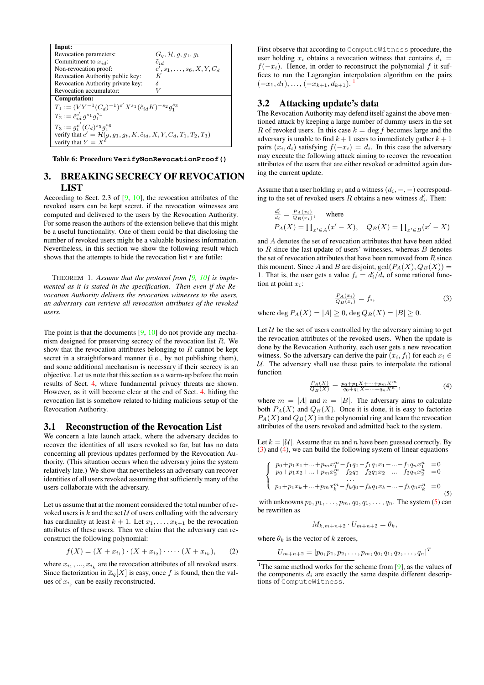

Table 6: Procedure **VerifyNonRevocationProof()**

# <span id="page-3-5"></span>3. BREAKING SECRECY OF REVOCATION LIST

According to Sect. 2.3 of [\[9,](#page-10-9) [10\]](#page-10-10), the revocation attributes of the revoked users can be kept secret, if the revocation witnesses are computed and delivered to the users by the Revocation Authority. For some reason the authors of the extension believe that this might be a useful functionality. One of them could be that disclosing the number of revoked users might be a valuable business information. Nevertheless, in this section we show the following result which shows that the attempts to hide the revocation list  $r$  are futile:

THEOREM 1. *Assume that the protocol from [\[9,](#page-10-9) [10\]](#page-10-10) is implemented as it is stated in the specification. Then even if the Revocation Authority delivers the revocation witnesses to the users, an adversary can retrieve all revocation attributes of the revoked users.*

The point is that the documents [\[9,](#page-10-9) [10\]](#page-10-10) do not provide any mechanism designed for preserving secrecy of the revocation list  $R$ . We show that the revocation attributes belonging to  $R$  cannot be kept secret in a straightforward manner (i.e., by not publishing them), and some additional mechanism is necessary if their secrecy is an objective. Let us note that this section as a warm-up before the main results of Sect. [4,](#page-4-0) where fundamental privacy threats are shown. However, as it will become clear at the end of Sect. [4,](#page-4-0) hiding the revocation list is somehow related to hiding malicious setup of the Revocation Authority.

#### <span id="page-3-6"></span>3.1 Reconstruction of the Revocation List

We concern a late launch attack, where the adversary decides to recover the identities of all users revoked so far, but has no data concerning all previous updates performed by the Revocation Authority. (This situation occurs when the adversary joins the system relatively late.) We show that nevertheless an adversary can recover identities of all users revoked assuming that sufficiently many of the users collaborate with the adversary.

Let us assume that at the moment considered the total number of revoked users is  $k$  and the set  $U$  of users colluding with the adversary has cardinality at least  $k + 1$ . Let  $x_1, \ldots, x_{k+1}$  be the revocation attributes of these users. Then we claim that the adversary can reconstruct the following polynomial:

<span id="page-3-4"></span>
$$
f(X) = (X + x_{i_1}) \cdot (X + x_{i_2}) \cdot \cdots \cdot (X + x_{i_k}), \qquad (2)
$$

where  $x_{i_1},...,x_{i_k}$  are the revocation attributes of all revoked users. Since factorization in  $\mathbb{Z}_q[X]$  is easy, once f is found, then the values of  $x_{i_j}$  can be easily reconstructed.

First observe that according to ComputeWitness procedure, the user holding  $x_i$  obtains a revocation witness that contains  $d_i =$  $f(-x_i)$ . Hence, in order to reconstruct the polynomial f it suffices to run the Lagrangian interpolation algorithm on the pairs  $(-x_1, d_1), \ldots, (-x_{k+1}, d_{k+1}).$  $(-x_1, d_1), \ldots, (-x_{k+1}, d_{k+1}).$  $(-x_1, d_1), \ldots, (-x_{k+1}, d_{k+1}).$ <sup>1</sup>

# 3.2 Attacking update's data

The Revocation Authority may defend itself against the above mentioned attack by keeping a large number of dummy users in the set R of revoked users. In this case  $k = \deg f$  becomes large and the adversary is unable to find  $k + 1$  users to immediately gather  $k + 1$ pairs  $(x_i, d_i)$  satisfying  $f(-x_i) = d_i$ . In this case the adversary may execute the following attack aiming to recover the revocation attributes of the users that are either revoked or admitted again during the current update.

Assume that a user holding  $x_i$  and a witness  $(d_i, -, -)$  corresponding to the set of revoked users  $R$  obtains a new witness  $d_i'$ . Then:

$$
\frac{d_i'}{d_i} = \frac{P_A(x_i)}{Q_B(x_i)}, \quad \text{where}
$$
  

$$
P_A(X) = \prod_{x' \in A} (x' - X), \quad Q_B(X) = \prod_{x' \in B} (x' - X)
$$

and A denotes the set of revocation attributes that have been added to  $R$  since the last update of users' witnesses, whereas  $B$  denotes the set of revocation attributes that have been removed from  $R$  since this moment. Since A and B are disjoint,  $gcd(P_A(X), Q_B(X))$  = 1. That is, the user gets a value  $f_i = d_i'/d_i$  of some rational function at point  $x_i$ :

<span id="page-3-1"></span>
$$
\frac{P_A(x_i)}{Q_B(x_i)} = f_i,
$$
\nwhere  $\deg P_A(X) = |A| \geq 0$ ,  $\deg Q_B(X) = |B| \geq 0$ .

\n(3)

Let  $U$  be the set of users controlled by the adversary aiming to get the revocation attributes of the revoked users. When the update is done by the Revocation Authority, each user gets a new revocation witness. So the adversary can derive the pair  $(x_i, f_i)$  for each  $x_i \in$  $U$ . The adversary shall use these pairs to interpolate the rational function

<span id="page-3-2"></span>
$$
\frac{P_A(X)}{Q_B(X)} = \frac{p_0 + p_1 X + \dots + p_m X^m}{q_0 + q_1 X + \dots + q_n X^n},\tag{4}
$$

where  $m = |A|$  and  $n = |B|$ . The adversary aims to calculate both  $P_A(X)$  and  $Q_B(X)$ . Once it is done, it is easy to factorize  $P_A(X)$  and  $Q_B(X)$  in the polynomial ring and learn the revocation attributes of the users revoked and admitted back to the system.

Let  $k = |\mathcal{U}|$ . Assume that m and n have been guessed correctly. By [\(3\)](#page-3-1) and [\(4\)](#page-3-2), we can build the following system of linear equations

<span id="page-3-3"></span>
$$
\begin{cases}\np_0 + p_1 x_1 + \dots + p_m x_1^m - f_1 q_0 - f_1 q_1 x_1 - \dots - f_1 q_n x_1^n = 0 \\
p_0 + p_1 x_2 + \dots + p_m x_2^m - f_2 q_0 - f_2 q_1 x_2 - \dots - f_2 q_n x_2^n = 0 \\
\vdots \\
p_0 + p_1 x_k + \dots + p_m x_k^m - f_k q_0 - f_k q_1 x_k - \dots - f_k q_n x_k^n = 0\n\end{cases} (5)
$$

with unknowns  $p_0, p_1, \ldots, p_m, q_0, q_1, \ldots, q_n$ . The system [\(5\)](#page-3-3) can be rewritten as

$$
M_{k,m+n+2} \cdot U_{m+n+2} = \theta_k,
$$

where  $\theta_k$  is the vector of k zeroes,

$$
U_{m+n+2} = [p_0, p_1, p_2, \ldots, p_m, q_0, q_1, q_2, \ldots, q_n]^T
$$

<span id="page-3-0"></span><sup>1</sup>The same method works for the scheme from  $[9]$ , as the values of the components  $d_i$  are exactly the same despite different descriptions of ComputeWitness.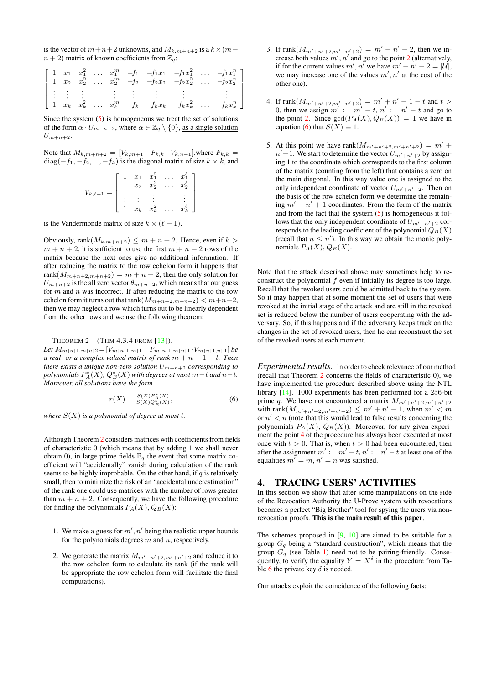is the vector of  $m+n+2$  unknowns, and  $M_{k,m+n+2}$  is a  $k\times(m+n+1)$  $n + 2$ ) matrix of known coefficients from  $\mathbb{Z}_q$ :

$$
\begin{bmatrix}\n1 & x_1 & x_1^2 & \dots & x_1^m & -f_1 & -f_1x_1 & -f_1x_1^2 & \dots & -f_1x_1^n \\
1 & x_2 & x_2^2 & \dots & x_2^m & -f_2 & -f_2x_2 & -f_2x_2^2 & \dots & -f_2x_2^n \\
\vdots & \vdots & \vdots & \vdots & \vdots & \vdots & \vdots & \vdots \\
1 & x_k & x_k^2 & \dots & x_k^m & -f_k & -f_kx_k & -f_kx_k^2 & \dots & -f_kx_k^n\n\end{bmatrix}
$$

Since the system  $(5)$  is homogeneous we treat the set of solutions of the form  $\alpha \cdot U_{m+n+2}$ , where  $\alpha \in \mathbb{Z}_q \setminus \{0\}$ , as a single solution  $U_{m+n+2}$ .

Note that 
$$
M_{k,m+n+2} = [V_{k,m+1} \quad F_{k,k} \cdot V_{k,n+1}]
$$
, where  $F_{k,k} =$   
diag $(-f_1, -f_2, ..., -f_k)$  is the diagonal matrix of size  $k \times k$ , and

$$
V_{k,\ell+1} = \begin{bmatrix} 1 & x_1 & x_1^2 & \dots & x_1^{\ell} \\ 1 & x_2 & x_2^2 & \dots & x_2^{\ell} \\ \vdots & \vdots & \vdots & & \vdots \\ 1 & x_k & x_k^2 & \dots & x_k^{\ell} \end{bmatrix}
$$

is the Vandermonde matrix of size  $k \times (\ell + 1)$ .

Obviously, rank $(M_{k,m+n+2}) \leq m+n+2$ . Hence, even if  $k >$  $m + n + 2$ , it is sufficient to use the first  $m + n + 2$  rows of the matrix because the next ones give no additional information. If after reducing the matrix to the row echelon form it happens that rank $(M_{m+n+2,m+n+2}) = m + n + 2$ , then the only solution for  $U_{m+n+2}$  is the all zero vector  $\theta_{m+n+2}$ , which means that our guess for  $m$  and  $n$  was incorrect. If after reducing the matrix to the row echelon form it turns out that rank $(M_{m+n+2,m+n+2}) < m+n+2$ , then we may neglect a row which turns out to be linearly dependent from the other rows and we use the following theorem:

#### THEOREM 2 (THM 4.3.4 FROM [\[13\]](#page-10-11)).

*Let*  $M_{m+n+1,m+n+2} = [V_{m+n+1,m+1} \quad F_{m+n+1,m+n+1} \cdot V_{m+n+1,n+1}]$  *be a real- or a complex-valued matrix of rank*  $m + n + 1 - t$ . Then *there exists a unique non-zero solution*  $U_{m+n+2}$  *corresponding to*  $p$ olynomials  $P^*_A(X)$ ,  $Q^*_B(X)$  with degrees at most  $m{-}t$  and  $n{-}t$ . *Moreover, all solutions have the form*

<span id="page-4-3"></span>
$$
r(X) = \frac{S(X)P_A^*(X)}{S(X)Q_B^*(X)},
$$
\n(6)

*where* S(X) *is a polynomial of degree at most* t*.*

Although Theorem [2](#page-4-1) considers matrices with coefficients from fields of characteristic 0 (which means that by adding 1 we shall never obtain 0), in large prime fields  $\mathbb{F}_q$  the event that some matrix coefficient will "accidentally" vanish during calculation of the rank seems to be highly improbable. On the other hand, if  $q$  is relatively small, then to minimize the risk of an "accidental underestimation" of the rank one could use matrices with the number of rows greater than  $m + n + 2$ . Consequently, we have the following procedure for finding the polynomials  $P_A(X)$ ,  $Q_B(X)$ :

- 1. We make a guess for  $m', n'$  being the realistic upper bounds for the polynomials degrees  $m$  and  $n$ , respectively.
- <span id="page-4-2"></span>2. We generate the matrix  $M_{m'+n'+2,m'+n'+2}$  and reduce it to the row echelon form to calculate its rank (if the rank will be appropriate the row echelon form will facilitate the final computations).
- 3. If rank $(M_{m'+n'+2,m'+n'+2}) = m' + n' + 2$ , then we increase both values  $m', n'$  and go to the point [2](#page-4-2) (alternatively, if for the current values  $m', n'$  we have  $m' + n' + 2 = |\mathcal{U}|$ , we may increase one of the values  $m', n'$  at the cost of the other one).
- <span id="page-4-4"></span>4. If rank $(M_{m'+n'+2,m'+n'+2}) = m' + n' + 1 - t$  and  $t >$ 0, then we assign  $m' := m' - t$ ,  $n' := n' - t$  and go to the point [2.](#page-4-2) Since  $gcd(P_A(X), Q_B(X)) = 1$  we have in equation [\(6\)](#page-4-3) that  $S(X) \equiv 1$ .
- 5. At this point we have rank $(M_{m'+n'+2,m'+n'+2}) = m' +$  $n' + 1$ . We start to determine the vector  $U_{m'+n'+2}$  by assigning 1 to the coordinate which corresponds to the first column of the matrix (counting from the left) that contains a zero on the main diagonal. In this way value one is assigned to the only independent coordinate of vector  $U_{m'+n'+2}$ . Then on the basis of the row echelon form we determine the remaining  $m' + n' + 1$  coordinates. From the form of the matrix and from the fact that the system  $(5)$  is homogeneous it follows that the only independent coordinate of  $U_{m'+n'+2}$  corresponds to the leading coefficient of the polynomial  $Q_B(X)$ (recall that  $n \leq n'$ ). In this way we obtain the monic polynomials  $P_A(X)$ ,  $Q_B(X)$ .

<span id="page-4-1"></span>Note that the attack described above may sometimes help to reconstruct the polynomial  $f$  even if initially its degree is too large. Recall that the revoked users could be admitted back to the system. So it may happen that at some moment the set of users that were revoked at the initial stage of the attack and are still in the revoked set is reduced below the number of users cooperating with the adversary. So, if this happens and if the adversary keeps track on the changes in the set of revoked users, then he can reconstruct the set of the revoked users at each moment.

*Experimental results.* In order to check relevance of our method (recall that Theorem [2](#page-4-1) concerns the fields of characteristic 0), we have implemented the procedure described above using the NTL library [\[14\]](#page-10-12). 1000 experiments has been performed for a 256-bit prime q. We have not encountered a matrix  $M_{m'+n'+2,m'+n'+2}$ with rank $(M_{m'+n'+2,m'+n'+2}) \leq m' + n' + 1$ , when  $m' < m$ or  $n' < n$  (note that this would lead to false results concerning the polynomials  $P_A(X)$ ,  $Q_B(X)$ ). Moreover, for any given experiment the point [4](#page-4-4) of the procedure has always been executed at most once with  $t > 0$ . That is, when  $t > 0$  had been encountered, then after the assignment  $m' := m' - t$ ,  $n' := n' - t$  at least one of the equalities  $m' = m$ ,  $n' = n$  was satisfied.

#### <span id="page-4-0"></span>4. TRACING USERS' ACTIVITIES

In this section we show that after some manipulations on the side of the Revocation Authority the U-Prove system with revocations becomes a perfect "Big Brother" tool for spying the users via nonrevocation proofs. This is the main result of this paper.

The schemes proposed in  $[9, 10]$  $[9, 10]$  $[9, 10]$  are aimed to be suitable for a group  $G_q$  being a "standard construction", which means that the group  $G_q$  (see Table [1\)](#page-1-0) need not to be pairing-friendly. Consequently, to verify the equality  $Y = X^{\delta}$  in the procedure from Ta-ble [6](#page-2-0) the private key  $\delta$  is needed.

Our attacks exploit the coincidence of the following facts: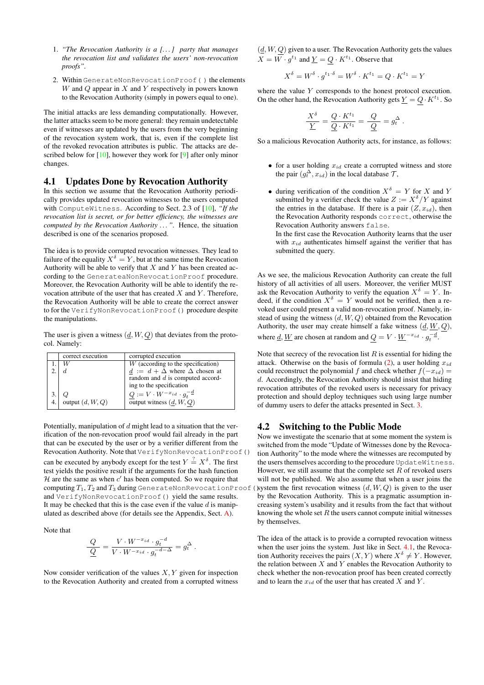- 1. *"The Revocation Authority is a [. . . ] party that manages the revocation list and validates the users' non-revocation proofs".*
- 2. Within GenerateNonRevocationProof( ) the elements W and  $Q$  appear in  $X$  and  $Y$  respectively in powers known to the Revocation Authority (simply in powers equal to one).

The initial attacks are less demanding computationally. However, the latter attacks seem to be more general: they remain undetectable even if witnesses are updated by the users from the very beginning of the revocation system work, that is, even if the complete list of the revoked revocation attributes is public. The attacks are de-scribed below for [\[10\]](#page-10-10), however they work for [\[9\]](#page-10-9) after only minor changes.

#### <span id="page-5-0"></span>4.1 Updates Done by Revocation Authority

In this section we assume that the Revocation Authority periodically provides updated revocation witnesses to the users computed with ComputeWitness. According to Sect. 2.3 of [\[10\]](#page-10-10), *"If the revocation list is secret, or for better efficiency, the witnesses are computed by the Revocation Authority . . . ".* Hence, the situation described is one of the scenarios proposed.

The idea is to provide corrupted revocation witnesses. They lead to failure of the equality  $X^{\delta} = Y$ , but at the same time the Revocation Authority will be able to verify that  $X$  and  $Y$  has been created according to the GenerateaNonRevocationProof procedure. Moreover, the Revocation Authority will be able to identify the revocation attribute of the user that has created  $X$  and  $Y$ . Therefore, the Revocation Authority will be able to create the correct answer to for the VerifyNonRevocationProof() procedure despite the manipulations.

The user is given a witness  $(d, W, Q)$  that deviates from the protocol. Namely:

|     | correct execution  | corrupted execution                                    |
|-----|--------------------|--------------------------------------------------------|
|     |                    | $W$ (according to the specification)                   |
|     |                    | $\underline{d} := d + \Delta$ where $\Delta$ chosen at |
|     |                    | random and d is computed accord-                       |
|     |                    | ing to the specification                               |
|     |                    | $Q := V \cdot W^{-x_{id}} \cdot g_t^{-d}$              |
| 4.1 | output $(d, W, Q)$ | output witness $(\underline{d}, W, Q)$                 |

Potentially, manipulation of  $d$  might lead to a situation that the verification of the non-revocation proof would fail already in the part that can be executed by the user or by a verifier different from the Revocation Authority. Note that VerifyNonRevocationProof() can be executed by anybody except for the test  $Y \stackrel{?}{=} X^{\delta}$ . The first test yields the positive result if the arguments for the hash function  $H$  are the same as when  $c'$  has been computed. So we require that computing  $T_1, T_2$  and  $T_3$  during GenerateNonRevocationProof( and VerifyNonRevocationProof() yield the same results. It may be checked that this is the case even if the value  $d$  is manipulated as described above (for details see the Appendix, Sect. [A\)](#page-11-0).

Note that

$$
\frac{Q}{\underline{Q}} = \frac{V \cdot W^{-x_{id}} \cdot g_t^{-d}}{V \cdot W^{-x_{id}} \cdot g_t^{-d-\Delta}} = g_t^{\Delta} .
$$

Now consider verification of the values  $X, Y$  given for inspection to the Revocation Authority and created from a corrupted witness  $(d, W, Q)$  given to a user. The Revocation Authority gets the values  $X = W \cdot g^{t_1}$  and  $\underline{Y} = Q \cdot K^{t_1}$ . Observe that

$$
X^{\delta} = W^{\delta} \cdot g^{t_1 \cdot \delta} = W^{\delta} \cdot K^{t_1} = Q \cdot K^{t_1} = Y
$$

 $\overline{\phantom{a}}$ 

where the value  $Y$  corresponds to the honest protocol execution. On the other hand, the Revocation Authority gets  $\underline{Y} = Q \cdot K^{t_1}$ . So

$$
\frac{X^{\delta}}{\underline{Y}} = \frac{Q \cdot K^{t_1}}{Q \cdot K^{t_1}} = \frac{Q}{Q} = g_t^{\Delta}.
$$

So a malicious Revocation Authority acts, for instance, as follows:

- for a user holding  $x_{id}$  create a corrupted witness and store the pair  $(g_t^{\Delta}, x_{id})$  in the local database  $\mathcal{T}$ ,
- during verification of the condition  $X^{\delta} = Y$  for X and Y submitted by a verifier check the value  $Z := X^{\delta}/Y$  against the entries in the database. If there is a pair  $(Z, x_{id})$ , then the Revocation Authority responds correct, otherwise the Revocation Authority answers false.

In the first case the Revocation Authority learns that the user with  $x_{id}$  authenticates himself against the verifier that has submitted the query.

As we see, the malicious Revocation Authority can create the full history of all activities of all users. Moreover, the verifier MUST ask the Revocation Authority to verify the equation  $X^{\delta} = Y$ . Indeed, if the condition  $X^{\delta} = Y$  would not be verified, then a revoked user could present a valid non-revocation proof. Namely, instead of using the witness  $(d, W, Q)$  obtained from the Revocation Authority, the user may create himself a fake witness  $(\underline{d}, \underline{W}, \underline{Q})$ , where <u>d</u>, <u>W</u> are chosen at random and  $Q = V \cdot \underline{W}^{-x_{id}} \cdot g_t^{-d}$ .

Note that secrecy of the revocation list  $R$  is essential for hiding the attack. Otherwise on the basis of formula  $(2)$ , a user holding  $x_{id}$ could reconstruct the polynomial f and check whether  $f(-x_{id}) =$  $d$ . Accordingly, the Revocation Authority should insist that hiding revocation attributes of the revoked users is necessary for privacy protection and should deploy techniques such using large number of dummy users to defer the attacks presented in Sect. [3.](#page-3-5)

#### 4.2 Switching to the Public Mode

Now we investigate the scenario that at some moment the system is switched from the mode "Update of Witnesses done by the Revocation Authority" to the mode where the witnesses are recomputed by the users themselves according to the procedure UpdateWitness. However, we still assume that the complete set  $R$  of revoked users will not be published. We also assume that when a user joins the system the first revocation witness  $(d, W, Q)$  is given to the user by the Revocation Authority. This is a pragmatic assumption increasing system's usability and it results from the fact that without knowing the whole set  $R$  the users cannot compute initial witnesses by themselves.

The idea of the attack is to provide a corrupted revocation witness when the user joins the system. Just like in Sect. [4.1,](#page-5-0) the Revocation Authority receives the pairs  $(X, Y)$  where  $X^{\delta} \neq Y$ . However, the relation between  $X$  and  $Y$  enables the Revocation Authority to check whether the non-revocation proof has been created correctly and to learn the  $x_{id}$  of the user that has created  $X$  and  $Y$ .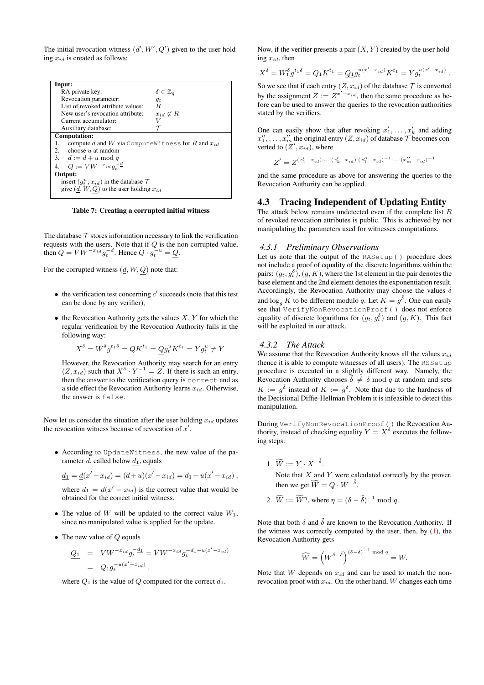The initial revocation witness  $(d', W', Q')$  given to the user holding  $x_{id}$  is created as follows:

| Input:                                                       |                           |  |
|--------------------------------------------------------------|---------------------------|--|
| RA private key:                                              | $\delta \in \mathbb{Z}_q$ |  |
| Revocation parameter:                                        |                           |  |
| List of revoked attribute values:                            | .9t<br>R.                 |  |
|                                                              |                           |  |
| New user's revocation attribute:                             | $x_{id} \notin R$         |  |
| Current accumulator:                                         |                           |  |
| Auxiliary database:                                          |                           |  |
| Computation:                                                 |                           |  |
| compute d and W via Compute Witness for R and $x_{id}$<br>1. |                           |  |
| 2. choose $u$ at random                                      |                           |  |
| 3. $\underline{d} := d + u \bmod q$                          |                           |  |
| 4. $Q := VW^{-x_{id}}g_t^{-\underline{d}}$                   |                           |  |
| Output:                                                      |                           |  |
| insert $(g_t^u, x_{id})$ in the database $\mathcal T$        |                           |  |
| give $(d, W, Q)$ to the user holding $x_{id}$                |                           |  |
|                                                              |                           |  |
|                                                              |                           |  |

Table 7: Creating a corrupted initial witness

The database  $\tau$  stores information necessary to link the verification requests with the users. Note that if  $Q$  is the non-corrupted value, then  $Q = VW^{-x_{id}} g_t^{-d}$ . Hence  $Q \cdot g_t^{-u} = Q$ .

For the corrupted witness  $(\underline{d}, W, Q)$  note that:

- $\bullet$  the verification test concerning  $c'$  succeeds (note that this test can be done by any verifier),
- the Revocation Authority gets the values  $X, Y$  for which the regular verification by the Revocation Authority fails in the following way:

$$
X^{\delta} = W^{\delta} g^{t_1 \delta} = Q K^{t_1} = Q g_t^u K^{t_1} = Y g_t^u \neq Y
$$

However, the Revocation Authority may search for an entry  $(Z, x_{id})$  such that  $X^{\delta} \cdot Y^{-1} = Z$ . If there is such an entry, then the answer to the verification query is correct and as a side effect the Revocation Authority learns  $x_{id}$ . Otherwise, the answer is false.

Now let us consider the situation after the user holding  $x_{id}$  updates the revocation witness because of revocation of  $x'$ .

• According to UpdateWitness, the new value of the parameter d, called below  $d_1$ , equals

$$
\underline{d_1} = \underline{d}(x' - x_{id}) = (d+u)(x' - x_{id}) = d_1 + u(x' - x_{id}),
$$

where  $d_1 = d(x' - x_{id})$  is the correct value that would be obtained for the correct initial witness.

- The value of W will be updated to the correct value  $W_1$ , since no manipulated value is applied for the update.
- The new value of  $Q$  equals

$$
\begin{array}{rcl} \underline{Q_1} & = & VW^{-x_{id}} g_t^{-d_1} = V W^{-x_{id}} g_t^{-d_1 - u(x' - x_{id})} \\ & = & Q_1 g_t^{-u(x' - x_{id})} \end{array}
$$

where  $Q_1$  is the value of  $Q$  computed for the correct  $d_1$ .

Now, if the verifier presents a pair  $(X, Y)$  created by the user holding  $x_{id}$ , then

$$
X^{\delta} = W_1^{\delta} g^{t_1 \delta} = Q_1 K^{t_1} = \underline{Q_1} g_t^{u(x'-x_{id})} K^{t_1} = Y g_t^{u(x'-x_{id})}.
$$

So we see that if each entry  $(Z, x_{id})$  of the database  $\mathcal T$  is converted by the assignment  $Z := Z^{x'-x_{id}}$ , then the same procedure as before can be used to answer the queries to the revocation authorities stated by the verifiers.

One can easily show that after revoking  $x'_1, \ldots, x'_k$  and adding  $x_1'', \ldots, x_m''$  the original entry  $(Z, x_{id})$  of database  $\mathcal T$  becomes converted to  $(Z', x_{id})$ , where

$$
Z' = Z^{(x'_1 - x_{id}) \cdot \ldots \cdot (x'_k - x_{id}) \cdot (x''_1 - x_{id})^{-1} \cdot \ldots \cdot (x''_m - x_{id})^{-1}}
$$

and the same procedure as above for answering the queries to the Revocation Authority can be applied.

#### <span id="page-6-0"></span>4.3 Tracing Independent of Updating Entity

The attack below remains undetected even if the complete list R of revoked revocation attributes is public. This is achieved by not manipulating the parameters used for witnesses computations.

#### *4.3.1 Preliminary Observations*

Let us note that the output of the RASetup( ) procedure does not include a proof of equality of the discrete logarithms within the pairs:  $(g_t, g_t^{\delta})$ ,  $(g, K)$ , where the 1st element in the pair denotes the base element and the 2nd element denotes the exponentiation result. Accordingly, the Revocation Authority may choose the values  $\delta$ and  $\log_g K$  to be different modulo q. Let  $K = g^{\tilde{\delta}}$ . One can easily see that VerifyNonRevocationProof( ) does not enforce equality of discrete logarithms for  $(g_t, g_t^{\delta})$  and  $(g, K)$ . This fact will be exploited in our attack.

#### *4.3.2 The Attack*

We assume that the Revocation Authority knows all the values  $x_{id}$ (hence it is able to compute witnesses of all users). The RSSetup procedure is executed in a slightly different way. Namely, the Revocation Authority chooses  $\delta \neq \delta \mod q$  at random and sets  $K := g^{\delta}$  instead of  $K := g^{\delta}$ . Note that due to the hardness of the Decisional Diffie-Hellman Problem it is infeasible to detect this manipulation.

During VerifyNonRevocationProof( ) the Revocation Authority, instead of checking equality  $Y = X^{\delta}$  executes the following steps:

1.  $\widetilde{W} := Y \cdot X^{-\widetilde{\delta}}$ .

Note that  $X$  and  $Y$  were calculated correctly by the prover, then we get  $\widetilde{W} = Q \cdot W^{-\tilde{\delta}}$ .

2.  $\widehat{W} := \widetilde{W}^{\eta}$ , where  $\eta = (\delta - \tilde{\delta})^{-1} \text{ mod } q$ .

Note that both  $\delta$  and  $\tilde{\delta}$  are known to the Revocation Authority. If the witness was correctly computed by the user, then, by  $(1)$ , the Revocation Authority gets

$$
\widehat{W} = \left(W^{\delta - \tilde{\delta}}\right)^{(\delta - \tilde{\delta})^{-1} \mod q} = W.
$$

Note that W depends on  $x_{id}$  and can be used to match the nonrevocation proof with  $x_{id}$ . On the other hand, W changes each time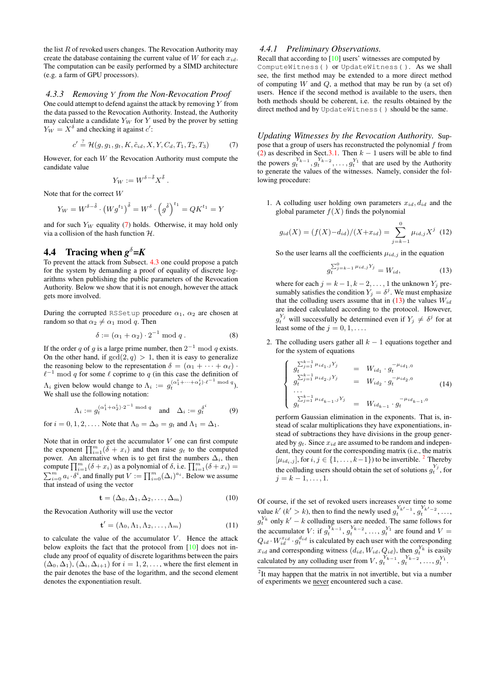the list  $R$  of revoked users changes. The Revocation Authority may create the database containing the current value of  $W$  for each  $x_{id}$ . The computation can be easily performed by a SIMD architecture (e.g. a farm of GPU processors).

#### *4.3.3 Removing* Y *from the Non-Revocation Proof*

One could attempt to defend against the attack by removing  $Y$  from the data passed to the Revocation Authority. Instead, the Authority may calculate a candidate  $Y_W$  for Y used by the prover by setting  $Y_W = X^{\delta}$  and checking it against c':

<span id="page-7-0"></span>
$$
c' \stackrel{?}{=} \mathcal{H}(g, g_1, g_t, K, \tilde{c}_{id}, X, Y, C_d, T_1, T_2, T_3) \tag{7}
$$

However, for each W the Revocation Authority must compute the candidate value

$$
Y_W := W^{\delta - \tilde{\delta}} X^{\tilde{\delta}}.
$$

Note that for the correct W

$$
Y_W = W^{\delta - \tilde{\delta}} \cdot \left(W g^{t_1}\right)^{\tilde{\delta}} = W^{\delta} \cdot \left(g^{\tilde{\delta}}\right)^{t_1} = Q K^{t_1} = Y
$$

and for such  $Y_W$  equality [\(7\)](#page-7-0) holds. Otherwise, it may hold only via a collision of the hash function  $H$ .

# **4.4** Tracing when  $g^{\delta} = K$

To prevent the attack from Subsect. [4.3](#page-6-0) one could propose a patch for the system by demanding a proof of equality of discrete logarithms when publishing the public parameters of the Revocation Authority. Below we show that it is not enough, however the attack gets more involved.

During the corrupted RSSetup procedure  $\alpha_1$ ,  $\alpha_2$  are chosen at random so that  $\alpha_2 \neq \alpha_1 \mod q$ . Then

<span id="page-7-8"></span>
$$
\delta := (\alpha_1 + \alpha_2) \cdot 2^{-1} \bmod q . \tag{8}
$$

If the order q of g is a large prime number, then  $2^{-1}$  mod q exists. On the other hand, if  $gcd(2, q) > 1$ , then it is easy to generalize the reasoning below to the representation  $\delta = (\alpha_1 + \cdots + \alpha_\ell)$ .  $\ell^{-1}$  mod q for some  $\ell$  coprime to q (in this case the definition of  $\Lambda_i$  given below would change to  $\Lambda_i := g_t^{(\alpha_1^i + \cdots + \alpha_\ell^i) \cdot \ell^{-1} \bmod q}$ . We shall use the following notation:

<span id="page-7-6"></span>
$$
\Lambda_i := g_t^{(\alpha_1^i + \alpha_2^i) \cdot 2^{-1} \mod q} \quad \text{and} \quad \Delta_i := g_t^{\delta^i} \tag{9}
$$

for  $i = 0, 1, 2, \ldots$ . Note that  $\Lambda_0 = \Delta_0 = g_t$  and  $\Lambda_1 = \Delta_1$ .

Note that in order to get the accumulator  $V$  one can first compute the exponent  $\prod_{i=1}^{m}(\bar{\delta} + x_i)$  and then raise  $g_t$  to the computed power. An alternative when is to get first the numbers  $\Delta_i$ , then compute  $\prod_{i=1}^{m} (\delta + x_i)$  as a polynomial of  $\delta$ , i.e.  $\prod_{i=1}^{m} (\delta + x_i) =$  $\sum_{i=0}^{m} a_i \cdot \delta^i$ , and finally put  $V := \prod_{i=0}^{m} (\Delta_i)^{a_i}$ . Below we assume  $\frac{1}{2}$  that instead of using the vector

<span id="page-7-7"></span>
$$
\mathbf{t} = (\Delta_0, \Delta_1, \Delta_2, \dots, \Delta_m) \tag{10}
$$

the Revocation Authority will use the vector

<span id="page-7-5"></span>
$$
\mathbf{t}' = (\Lambda_0, \Lambda_1, \Lambda_2, \dots, \Lambda_m) \tag{11}
$$

to calculate the value of the accumulator  $V$ . Hence the attack below exploits the fact that the protocol from [\[10\]](#page-10-10) does not include any proof of equality of discrete logarithms between the pairs  $(\Delta_0, \Delta_1)$ ,  $(\Delta_i, \Delta_{i+1})$  for  $i = 1, 2, \ldots$ , where the first element in the pair denotes the base of the logarithm, and the second element denotes the exponentiation result.

## *4.4.1 Preliminary Observations.*

Recall that according to [\[10\]](#page-10-10) users' witnesses are computed by ComputeWitness( ) or UpdateWitness( ). As we shall see, the first method may be extended to a more direct method of computing  $W$  and  $Q$ , a method that may be run by (a set of) users. Hence if the second method is available to the users, then both methods should be coherent, i.e. the results obtained by the direct method and by UpdateWitness( ) should be the same.

*Updating Witnesses by the Revocation Authority.* Suppose that a group of users has reconstructed the polynomial  $f$  from [\(2\)](#page-3-4) as described in Sect[.3.1.](#page-3-6) Then  $k - 1$  users will be able to find the powers  $g_t^{Y_{k-1}}, g_t^{Y_{k-2}}, \dots, g_t^{Y_1}$  that are used by the Authority to generate the values of the witnesses. Namely, consider the following procedure:

1. A colluding user holding own parameters  $x_{id}$ ,  $d_{id}$  and the global parameter  $f(X)$  finds the polynomial

<span id="page-7-3"></span>
$$
g_{id}(X) = (f(X) - d_{id})/(X + x_{id}) = \sum_{j=k-1}^{0} \mu_{id,j} X^j
$$
 (12)

So the user learns all the coefficients  $\mu_{id,j}$  in the equation

<span id="page-7-1"></span>
$$
g_t^{\sum_{j=k-1}^0 \mu_{id,j} Y_j} = W_{id},\tag{13}
$$

where for each  $j = k - 1, k - 2, \dots, 1$  the unknown  $Y_j$  presumably satisfies the condition  $Y_j = \delta^j$ . We must emphasize that the colluding users assume that in  $(13)$  the values  $W_{id}$ are indeed calculated according to the protocol. However,  $g_t^{Y_j}$  will successfully be determined even if  $Y_j \neq \delta^j$  for at least some of the  $j = 0, 1, \ldots$ .

2. The colluding users gather all  $k - 1$  equations together and for the system of equations

<span id="page-7-4"></span>
$$
\begin{cases}\n\frac{\sum_{j=1}^{k-1} \mu_{id_1,j} Y_j}{g_t^{k-1}} = W_{id_1} \cdot g_t^{-\mu_{id_1,0}} \\
\frac{\sum_{j=1}^{k-1} \mu_{id_2,j} Y_j}{g_t} = W_{id_2} \cdot g_t^{-\mu_{id_2,0}} \\
\cdots \\
g_t^{k-1} \mu_{id_{k-1},j} Y_j = W_{id_{k-1}} \cdot g_t^{-\mu_{id_{k-1},0}}\n\end{cases}
$$
\n(14)

perform Gaussian elimination in the exponents. That is, instead of scalar multiplications they have exponentiations, instead of subtractions they have divisions in the group generated by  $q_t$ . Since  $x_{id}$  are assumed to be random and independent, they count for the corresponding matrix (i.e., the matrix  $[\mu_{id_i,j}]$ , for  $i, j \in \{1, \ldots, k-1\}$ ) to be invertible. <sup>[2](#page-7-2)</sup> Thereby the colluding users should obtain the set of solutions  $g_t^{Y_j}$ , for  $j = k - 1, \ldots, 1.$ 

Of course, if the set of revoked users increases over time to some value  $k'(k' > k)$ , then to find the newly used  $g_t^{Y_{k'-1}}, g_t^{Y_{k'-2}}, \ldots$ ,  $g_t^{Y_k}$  only  $k' - k$  colluding users are needed. The same follows for the accumulator V: if  $g_t^{Y_{k-1}}, g_t^{Y_{k-2}}, \ldots, g_t^{Y_1}$  are found and  $V =$  $Q_{id} \cdot W_{id}^{x_{id}} \cdot g_t^{d_{id}}$  is calculated by each user with the corresponding  $x_{id}$  and corresponding witness  $(d_{id}, W_{id}, Q_{id})$ , then  $g_t^{Y_k}$  is easily calculated by any colluding user from  $V, g_t^{Y_{k-1}}, g_t^{Y_{k-2}}, \ldots, g_t^{Y_1}$ .

<span id="page-7-2"></span><sup>&</sup>lt;sup>2</sup>It may happen that the matrix in not invertible, but via a number of experiments we never encountered such a case.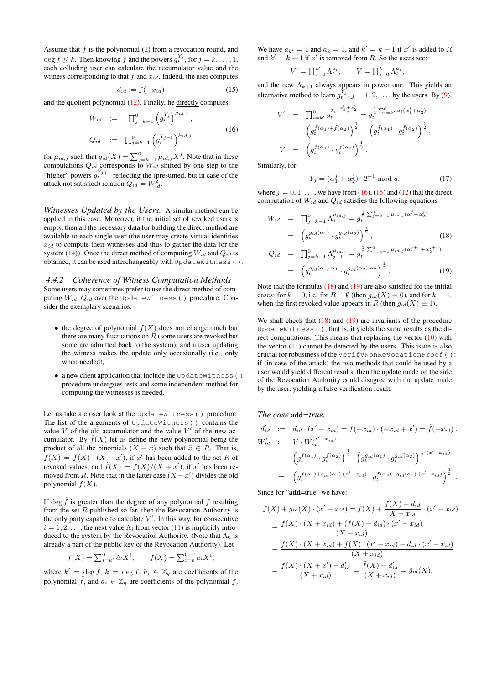Assume that  $f$  is the polynomial  $(2)$  from a revocation round, and  $\deg f \leq k$ . Then knowing f and the powers  $g_t^{Y_j}$ , for  $j = k, \ldots, 1$ , each colluding user can calculate the accumulator value and the witness corresponding to that  $f$  and  $x_{id}$ . Indeed, the user computes

<span id="page-8-1"></span>
$$
d_{id} := f(-x_{id})\tag{15}
$$

and the quotient polynomial [\(12\)](#page-7-3). Finally, he directly computes:

<span id="page-8-0"></span>
$$
W_{id} := \prod_{j=k-1}^{0} (g_{t}^{Y_{j}})^{\mu_{id,j}},
$$
  
\n
$$
Q_{id} := \prod_{j=k-1}^{0} (g_{t}^{Y_{j+1}})^{\mu_{id,j}}
$$
\n(16)

for  $\mu_{id,j}$  such that  $g_{id}(X) = \sum_{j=k-1}^{0} \mu_{id,j} X^j$ . Note that in these computations  $Q_{id}$  corresponds to  $W_{id}$  shifted by one step to the "higher" powers  $g_t^{Y_{j+1}}$  reflecting the (presumed, but in case of the attack not satisfied) relation  $Q_{id} = W_{id}^{\delta}$ .

*Witnesses Updated by the Users.* A similar method can be applied in this case. Moreover, if the initial set of revoked users is empty, then all the necessary data for building the direct method are available to each single user (the user may create virtual identities  $x_{id}$  to compute their witnesses and thus to gather the data for the system [\(14\)](#page-7-4)). Once the direct method of computing  $W_{id}$  and  $Q_{id}$  is obtained, it can be used interchangeably with UpdateWitness( ).

#### *4.4.2 Coherence of Witness Computation Methods*

Some users may sometimes prefer to use the direct method of computing  $W_{id}$ ,  $Q_{id}$  over the UpdateWitness() procedure. Consider the exemplary scenarios:

- the degree of polynomial  $f(X)$  does not change much but there are many fluctuations on  $R$  (some users are revoked but some are admitted back to the system), and a user updating the witness makes the update only occasionally (i.e., only when needed),
- a new client application that include the UpdateWitness( ) procedure undergoes tests and some independent method for computing the witnesses is needed.

Let us take a closer look at the UpdateWitness( ) procedure: The list of the arguments of UpdateWitness( ) contains the value  $V$  of the old accumulator and the value  $V'$  of the new accumulator. By  $f(X)$  let us define the new polynomial being the product of all the binomials  $(X + \tilde{x})$  such that  $\tilde{x} \in R$ . That is,  $\tilde{f}(X) = f(X) \cdot (X + x')$ , if x' has been added to the set R of revoked values, and  $\tilde{f}(X) = f(X)/(X + x')$ , if x' has been removed from R. Note that in the latter case  $(X + x')$  divides the old polynomial  $f(X)$ .

If deg  $\tilde{f}$  is greater than the degree of any polynomial f resulting from the set  $R$  published so far, then the Revocation Authority is the only party capable to calculate  $V'$ . In this way, for consecutive  $i = 1, 2, \dots$ , the next value  $\Lambda_i$  from vector [\(11\)](#page-7-5) is implicitly introduced to the system by the Revocation Authority. (Note that  $\Lambda_0$  is already a part of the public key of the Revocation Authority). Let

$$
\tilde{f}(X) = \sum_{i=k'}^{0} \tilde{a}_i X^i, \qquad f(X) = \sum_{i=k}^{0} a_i X^i
$$

,

where  $k' = \deg \tilde{f}$ ,  $k = \deg f$ ,  $\tilde{a}_i \in \mathbb{Z}_q$  are coefficients of the polynomial  $\tilde{f}$ , and  $a_i \in \mathbb{Z}_q$  are coefficients of the polynomial  $f$ . We have  $\tilde{a}_{k'} = 1$  and  $a_k = 1$ , and  $k' = k + 1$  if  $x'$  is added to R and  $k' = k - 1$  if x' is removed from R. So the users see:

$$
V' = \prod_{i=0}^{k'} \Lambda_i^{\tilde{a}_i}, \qquad V = \prod_{i=0}^{k} \Lambda_i^{a_i},
$$

and the new  $\Lambda_{k+1}$  always appears in power one. This yields an alternative method to learn  $g_t^{Y_j}$ ,  $j = 1, 2, \dots$ , by the users. By [\(9\)](#page-7-6),

$$
V' = \prod_{i=k'}^{0} g_t^{\tilde{a}_i \cdot \frac{\alpha_1^i + \alpha_2^i}{2}} = g_t^{\frac{1}{2} \sum_{i=k'}^{0} \tilde{a}_i (\alpha_1^i + \alpha_2^i)}
$$
  
=  $(g_t^{\tilde{f}(\alpha_1) + \tilde{f}(\alpha_2)})^{\frac{1}{2}} = (g_t^{\tilde{f}(\alpha_1)} \cdot g_t^{\tilde{f}(\alpha_2)})^{\frac{1}{2}},$   

$$
V = (g_t^{f(\alpha_1)} \cdot g_t^{f(\alpha_2)})^{\frac{1}{2}}.
$$

Similarly, for

<span id="page-8-3"></span>
$$
Y_j = (\alpha_1^j + \alpha_2^j) \cdot 2^{-1} \bmod q,
$$
 (17)

where  $j = 0, 1, \ldots$ , we have from [\(16\)](#page-8-0), [\(15\)](#page-8-1) and [\(12\)](#page-7-3) that the direct computation of  $W_{id}$  and  $Q_{id}$  satisfies the following equations

<span id="page-8-2"></span>
$$
W_{id} = \prod_{j=k-1}^{0} \Lambda_j^{\mu_{id,j}} = g_t^{\frac{1}{2} \sum_{j=k-1}^{0} \mu_{id,j}(\alpha_1^j + \alpha_2^j)}
$$
  
= 
$$
\left( g_t^{g_{id}(\alpha_1)} \cdot g_t^{g_{id}(\alpha_2)} \right)^{\frac{1}{2}}, \qquad (18)
$$

$$
Q_{id} = \prod_{j=k-1}^{0} \Lambda_{j+1}^{\mu_{id,j}} = g_t^{\frac{1}{2} \sum_{j=k-1}^{0} \mu_{id,j} (\alpha_1^{j+1} + \alpha_2^{j+1})}
$$

$$
= \left( g_t^{g_{id}(\alpha_1) \cdot \alpha_1} \cdot g_t^{g_{id}(\alpha_2) \cdot \alpha_2} \right)^{\frac{1}{2}}.
$$
(19)

Note that the formulas  $(18)$  and  $(19)$  are also satisfied for the initial cases: for  $k = 0$ , i.e. for  $R = \emptyset$  (then  $g_{id}(X) \equiv 0$ ), and for  $k = 1$ , when the first revoked value appears in R (then  $g_{id}(X) \equiv 1$ ).

We shall check that  $(18)$  and  $(19)$  are invariants of the procedure UpdateWitness( ), that is, it yields the same results as the direct computations. This means that replacing the vector  $(10)$  with the vector  $(11)$  cannot be detected by the users. This issue is also crucial for robustness of the VerifyNonRevocationProof( ): if (in case of the attack) the two methods that could be used by a user would yield different results, then the update made on the side of the Revocation Authority could disagree with the update made by the user, yielding a false verification result.

#### *The case* add*=true.*

$$
d'_{id} := d_{id} \cdot (x' - x_{id}) = f(-x_{id}) \cdot (-x_{id} + x') = \tilde{f}(-x_{id}) .
$$
  
\n
$$
W'_{id} := V \cdot W_{id}^{(x'-x_{id})}
$$
  
\n
$$
= (g_t^{f(\alpha_1)} \cdot g_t^{f(\alpha_2)})^{\frac{1}{2}} \cdot (g_t^{g_{id}(\alpha_1)} \cdot g_t^{g_{id}(\alpha_2)})^{\frac{1}{2} \cdot (x'-x_{id})}
$$
  
\n
$$
= (g_t^{f(\alpha_1) + g_{id}(\alpha_1) \cdot (x'-x_{id})} \cdot g_t^{f(\alpha_2) + g_{id}(\alpha_2) \cdot (x'-x_{id})})^{\frac{1}{2}}.
$$

Since for "add=true" we have:

$$
f(X) + g_{id}(X) \cdot (x' - x_{id}) = f(X) + \frac{f(X) - d_{id}}{X + x_{id}} \cdot (x' - x_{id})
$$
  
= 
$$
\frac{f(X) \cdot (X + x_{id}) + (f(X) - d_{id}) \cdot (x' - x_{id})}{(X + x_{id})}
$$
  
= 
$$
\frac{f(X) \cdot (X + x_{id}) + f(X) \cdot (x' - x_{id}) - d_{id} \cdot (x' - x_{id})}{(X + x_{id})}
$$
  
= 
$$
\frac{f(X) \cdot (X + x') - d'_{id}}{(X + x_{id})} = \frac{\tilde{f}(X) - d'_{id}}{(X + x_{id})} = \tilde{g}_{id}(X),
$$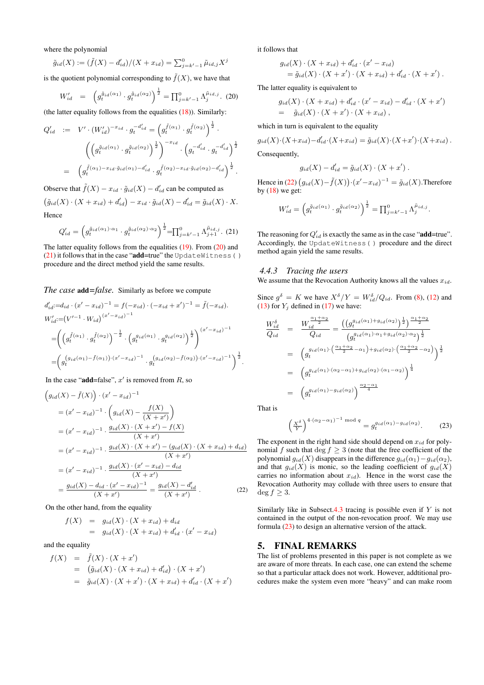where the polynomial

$$
\tilde{g}_{id}(X) := (\tilde{f}(X) - d'_{id})/(X + x_{id}) = \sum_{j=k'-1}^{0} \tilde{\mu}_{id,j} X^{j}
$$

is the quotient polynomial corresponding to  $\tilde{f}(X)$ , we have that

<span id="page-9-0"></span>
$$
W'_{id} = \left( g_t^{\tilde{g}_{id}(\alpha_1)} \cdot g_t^{\tilde{g}_{id}(\alpha_2)} \right)^{\frac{1}{2}} = \prod_{j=k'-1}^0 \Lambda_j^{\tilde{\mu}_{id,j}}.
$$
 (20)

(the latter equality follows from the equalities  $(18)$ ). Similarly:

$$
Q'_{id} := V' \cdot (W'_{id})^{-x_{id}} \cdot g_t^{-d'_{id}} = (g_t^{\tilde{f}(\alpha_1)} \cdot g_t^{\tilde{f}(\alpha_2)})^{\frac{1}{2}}.
$$

$$
\left( \left( g_t^{\tilde{g}_{id}(\alpha_1)} \cdot g_t^{\tilde{g}_{id}(\alpha_2)} \right)^{\frac{1}{2}} \right)^{-x_{id}} \cdot \left( g_t^{-d'_{id}} \cdot g_t^{-d'_{id}} \right)^{\frac{1}{2}}
$$

$$
= \left( g_t^{\tilde{f}(\alpha_1) - x_{id} \cdot \tilde{g}_{id}(\alpha_1) - d'_{id}} \cdot g_t^{\tilde{f}(\alpha_2) - x_{id} \cdot \tilde{g}_{id}(\alpha_2) - d'_{id}} \right)^{\frac{1}{2}}.
$$

Observe that  $\tilde{f}(X) - x_{id} \cdot \tilde{g}_{id}(X) - d'_{id}$  can be computed as  $(\tilde{g}_{id}(X) \cdot (X + x_{id}) + d'_{id}) - x_{id} \cdot \tilde{g}_{id}(X) - d'_{id} = \tilde{g}_{id}(X) \cdot X.$ Hence

<span id="page-9-1"></span>
$$
Q'_{id} = \left( g_t^{\tilde{g}_{id}(\alpha_1) \cdot \alpha_1} \cdot g_t^{\tilde{g}_{id}(\alpha_2) \cdot \alpha_2} \right)^{\frac{1}{2}} = \prod_{j=k'-1}^0 \Lambda_{j+1}^{\tilde{\mu}_{id,j}}.
$$
 (21)

The latter equality follows from the equalities [\(19\)](#page-8-2). From [\(20\)](#page-9-0) and [\(21\)](#page-9-1) it follows that in the case "add=true" the UpdateWitness( ) procedure and the direct method yield the same results.

#### *The case* add*=false.* Similarly as before we compute

$$
d'_{id} := d_{id} \cdot (x' - x_{id})^{-1} = f(-x_{id}) \cdot (-x_{id} + x')^{-1} = \tilde{f}(-x_{id}).
$$
  
\n
$$
W'_{id} := (V'^{-1} \cdot W_{id})^{(x' - x_{id})^{-1}}
$$
  
\n
$$
= \left( \left( g_t^{\tilde{f}(\alpha_1)} \cdot g_t^{\tilde{f}(\alpha_2)} \right)^{-\frac{1}{2}} \cdot \left( g_t^{g_{id}(\alpha_1)} \cdot g_t^{g_{id}(\alpha_2)} \right)^{\frac{1}{2}} \right)^{(x' - x_{id})^{-1}}
$$
  
\n
$$
= \left( g_t^{\left( g_{id}(\alpha_1) - \tilde{f}(\alpha_1) \right) \cdot (x' - x_{id})^{-1}} \cdot g_t^{\left( g_{id}(\alpha_2) - \tilde{f}(\alpha_2) \right) \cdot (x' - x_{id})^{-1}} \right)^{\frac{1}{2}}.
$$

In the case "**add**=false",  $x'$  is removed from  $R$ , so

<span id="page-9-2"></span>
$$
\left(g_{id}(X) - \tilde{f}(X)\right) \cdot (x' - x_{id})^{-1}
$$
\n
$$
= (x' - x_{id})^{-1} \cdot \left(g_{id}(X) - \frac{f(X)}{(X + x')}\right)
$$
\n
$$
= (x' - x_{id})^{-1} \cdot \frac{g_{id}(X) \cdot (X + x') - f(X)}{(X + x')}
$$
\n
$$
= (x' - x_{id})^{-1} \cdot \frac{g_{id}(X) \cdot (X + x') - (g_{id}(X) \cdot (X + x_{id}) + d_{id})}{(X + x')}
$$
\n
$$
= (x' - x_{id})^{-1} \cdot \frac{g_{id}(X) \cdot (x' - x_{id}) - d_{id}}{(X + x')}
$$
\n
$$
= \frac{g_{id}(X) - d_{id} \cdot (x' - x_{id})^{-1}}{(X + x')} = \frac{g_{id}(X) - d'_{id}}{(X + x')}.
$$
\n(22)

On the other hand, from the equality

$$
f(X) = g_{id}(X) \cdot (X + x_{id}) + d_{id}
$$
  
= 
$$
g_{id}(X) \cdot (X + x_{id}) + d'_{id} \cdot (x' - x_{id})
$$

and the equality

$$
f(X) = \tilde{f}(X) \cdot (X + x')
$$
  
=  $(\tilde{g}_{id}(X) \cdot (X + x_{id}) + d'_{id}) \cdot (X + x')$   
=  $\tilde{g}_{id}(X) \cdot (X + x') \cdot (X + x_{id}) + d'_{id} \cdot (X + x')$ 

it follows that

$$
g_{id}(X) \cdot (X + x_{id}) + d'_{id} \cdot (x' - x_{id})
$$
  
=  $\tilde{g}_{id}(X) \cdot (X + x') \cdot (X + x_{id}) + d'_{id} \cdot (X + x')$ .

The latter equality is equivalent to

$$
g_{id}(X) \cdot (X + x_{id}) + d'_{id} \cdot (x' - x_{id}) - d'_{id} \cdot (X + x')
$$
  
=  $\tilde{g}_{id}(X) \cdot (X + x') \cdot (X + x_{id}),$ 

which in turn is equivalent to the equality

$$
g_{id}(X) \cdot (X + x_{id}) - d'_{id} \cdot (X + x_{id}) = \tilde{g}_{id}(X) \cdot (X + x') \cdot (X + x_{id}).
$$
  
Consequently

Consequently,

$$
g_{id}(X) - d'_{id} = \tilde{g}_{id}(X) \cdot (X + x') .
$$

Hence in [\(22\)](#page-9-2)  $(g_{id}(X) - \tilde{f}(X)) \cdot (x'-x_{id})^{-1} = \tilde{g}_{id}(X)$ . Therefore by  $(18)$  we get:

$$
W'_{id} = \left( g_t^{\tilde{g}_{id}(\alpha_1)} \cdot g_t^{\tilde{g}_{id}(\alpha_2)} \right)^{\frac{1}{2}} = \prod_{j=k'-1}^0 \Lambda_j^{\tilde{\mu}_{id,j}}.
$$

The reasoning for  $Q'_{id}$  is exactly the same as in the case "add=true". Accordingly, the UpdateWitness( ) procedure and the direct method again yield the same results.

#### *4.4.3 Tracing the users*

We assume that the Revocation Authority knows all the values  $x_{id}$ .

Since  $g^{\delta} = K$  we have  $X^{\delta}/Y = W^{\delta}_{id}/Q_{id}$ . From [\(8\)](#page-7-8), [\(12\)](#page-7-3) and [\(13\)](#page-7-1) for  $Y_i$  defined in [\(17\)](#page-8-3) we have:

$$
\frac{W_{id}^{\delta}}{Q_{id}} = \frac{W_{id}^{\frac{\alpha_1 + \alpha_2}{2}}}{Q_{id}} = \frac{\left(\left(g_i^{g_{id}(\alpha_1) + g_{id}(\alpha_2)}\right)^{\frac{1}{2}}\right)^{\frac{\alpha_1 + \alpha_2}{2}}}{\left(g_i^{g_{id}(\alpha_1) \cdot \alpha_1 + g_{id}(\alpha_2) \cdot \alpha_2\right)^{\frac{1}{2}}}
$$
\n
$$
= \left(g_i^{g_{id}(\alpha_1) \cdot \left(\frac{\alpha_1 + \alpha_2}{2} - \alpha_1\right) + g_{id}(\alpha_2) \cdot \left(\frac{\alpha_1 + \alpha_2}{2} - \alpha_2\right)\right)^{\frac{1}{2}}}
$$
\n
$$
= \left(g_i^{g_{id}(\alpha_1) \cdot (\alpha_2 - \alpha_1) + g_{id}(\alpha_2) \cdot (\alpha_1 - \alpha_2)}\right)^{\frac{1}{4}}
$$
\n
$$
= \left(g_i^{g_{id}(\alpha_1) - g_{id}(\alpha_2)}\right)^{\frac{\alpha_2 - \alpha_1}{4}}
$$

That is

<span id="page-9-3"></span>
$$
\left(\frac{X^{\delta}}{Y}\right)^{4\cdot(\alpha_2-\alpha_1)^{-1}\bmod q} = g_t^{g_{id}(\alpha_1) - g_{id}(\alpha_2)}.
$$
 (23)

The exponent in the right hand side should depend on  $x_{id}$  for polynomial f such that deg  $f > 3$  (note that the free coefficient of the polynomial  $g_{id}(X)$  disappears in the difference  $g_{id}(\alpha_1)-g_{id}(\alpha_2)$ , and that  $g_{id}(X)$  is monic, so the leading coefficient of  $g_{id}(X)$ carries no information about  $x_{id}$ ). Hence in the worst case the Revocation Authority may collude with three users to ensure that  $\deg f \geq 3$ .

Similarly like in Subsect. 4.3 tracing is possible even if  $Y$  is not contained in the output of the non-revocation proof. We may use formula [\(23\)](#page-9-3) to design an alternative version of the attack.

## 5. FINAL REMARKS

The list of problems presented in this paper is not complete as we are aware of more threats. In each case, one can extend the scheme so that a particular attack does not work. However, addtitional procedures make the system even more "heavy" and can make room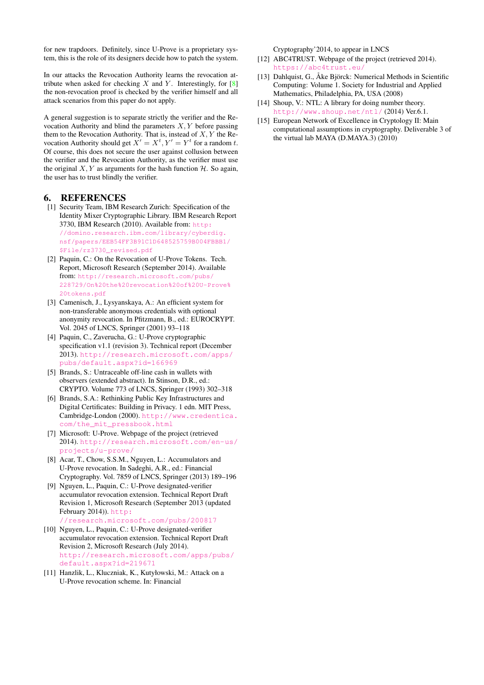for new trapdoors. Definitely, since U-Prove is a proprietary system, this is the role of its designers decide how to patch the system.

In our attacks the Revocation Authority learns the revocation attribute when asked for checking  $X$  and  $Y$ . Interestingly, for  $[8]$ the non-revocation proof is checked by the verifier himself and all attack scenarios from this paper do not apply.

A general suggestion is to separate strictly the verifier and the Revocation Authority and blind the parameters  $X, Y$  before passing them to the Revocation Authority. That is, instead of  $X, Y$  the Revocation Authority should get  $X' = X^t, Y' = Y^t$  for a random t. Of course, this does not secure the user against collusion between the verifier and the Revocation Authority, as the verifier must use the original  $X, Y$  as arguments for the hash function  $H$ . So again, the user has to trust blindly the verifier.

### 6. REFERENCES

- <span id="page-10-0"></span>[1] Security Team, IBM Research Zurich: Specification of the Identity Mixer Cryptographic Library. IBM Research Report 3730, IBM Research (2010). Available from: [http:](http://domino.research.ibm.com/library/cyberdig.nsf/papers/EEB54FF3B91C1D648525759B004FBBB1/$File/rz3730_revised.pdf) [//domino.research.ibm.com/library/cyberdig.](http://domino.research.ibm.com/library/cyberdig.nsf/papers/EEB54FF3B91C1D648525759B004FBBB1/$File/rz3730_revised.pdf) [nsf/papers/EEB54FF3B91C1D648525759B004FBBB1/](http://domino.research.ibm.com/library/cyberdig.nsf/papers/EEB54FF3B91C1D648525759B004FBBB1/$File/rz3730_revised.pdf) [\\$File/rz3730\\_revised.pdf](http://domino.research.ibm.com/library/cyberdig.nsf/papers/EEB54FF3B91C1D648525759B004FBBB1/$File/rz3730_revised.pdf)
- <span id="page-10-6"></span>[2] Paquin, C.: On the Revocation of U-Prove Tokens. Tech. Report, Microsoft Research (September 2014). Available from: [http://research.microsoft.com/pubs/](http://research.microsoft.com/pubs/228729/On%20the%20revocation%20of%20U-Prove%20tokens.pdf) [228729/On%20the%20revocation%20of%20U-Prove%](http://research.microsoft.com/pubs/228729/On%20the%20revocation%20of%20U-Prove%20tokens.pdf) [20tokens.pdf](http://research.microsoft.com/pubs/228729/On%20the%20revocation%20of%20U-Prove%20tokens.pdf)
- [3] Camenisch, J., Lysyanskaya, A.: An efficient system for non-transferable anonymous credentials with optional anonymity revocation. In Pfitzmann, B., ed.: EUROCRYPT. Vol. 2045 of LNCS, Springer (2001) 93–118
- <span id="page-10-1"></span>[4] Paquin, C., Zaverucha, G.: U-Prove cryptographic specification v1.1 (revision 3). Technical report (December 2013). [http://research.microsoft.com/apps/](http://research.microsoft.com/apps/pubs/default.aspx?id=166969) [pubs/default.aspx?id=166969](http://research.microsoft.com/apps/pubs/default.aspx?id=166969)
- <span id="page-10-2"></span>[5] Brands, S.: Untraceable off-line cash in wallets with observers (extended abstract). In Stinson, D.R., ed.: CRYPTO. Volume 773 of LNCS, Springer (1993) 302–318
- <span id="page-10-3"></span>[6] Brands, S.A.: Rethinking Public Key Infrastructures and Digital Certificates: Building in Privacy. 1 edn. MIT Press, Cambridge-London (2000). [http://www.credentica.](http://www.credentica.com/the_mit_pressbook.html) [com/the\\_mit\\_pressbook.html](http://www.credentica.com/the_mit_pressbook.html)
- <span id="page-10-4"></span>[7] Microsoft: U-Prove. Webpage of the project (retrieved 2014). [http://research.microsoft.com/en-us/](http://research.microsoft.com/en-us/projects/u-prove/) [projects/u-prove/](http://research.microsoft.com/en-us/projects/u-prove/)
- <span id="page-10-7"></span>[8] Acar, T., Chow, S.S.M., Nguyen, L.: Accumulators and U-Prove revocation. In Sadeghi, A.R., ed.: Financial Cryptography. Vol. 7859 of LNCS, Springer (2013) 189–196
- <span id="page-10-9"></span>[9] Nguyen, L., Paquin, C.: U-Prove designated-verifier accumulator revocation extension. Technical Report Draft Revision 1, Microsoft Research (September 2013 (updated February 2014)). [http:](http://research.microsoft.com/pubs/200817) [//research.microsoft.com/pubs/200817](http://research.microsoft.com/pubs/200817)
- <span id="page-10-10"></span>[10] Nguyen, L., Paquin, C.: U-Prove designated-verifier accumulator revocation extension. Technical Report Draft Revision 2, Microsoft Research (July 2014). [http://research.microsoft.com/apps/pubs/](http://research.microsoft.com/apps/pubs/default.aspx?id=219671) [default.aspx?id=219671](http://research.microsoft.com/apps/pubs/default.aspx?id=219671)
- <span id="page-10-8"></span>[11] Hanzlik, L., Kluczniak, K., Kutyłowski, M.: Attack on a U-Prove revocation scheme. In: Financial

Cryptography'2014, to appear in LNCS

- <span id="page-10-5"></span>[12] ABC4TRUST. Webpage of the project (retrieved 2014). <https://abc4trust.eu/>
- <span id="page-10-11"></span>[13] Dahlquist, G., Åke Björck: Numerical Methods in Scientific Computing: Volume 1. Society for Industrial and Applied Mathematics, Philadelphia, PA, USA (2008)
- <span id="page-10-12"></span>[14] Shoup, V.: NTL: A library for doing number theory. <http://www.shoup.net/ntl/> (2014) Ver.6.1.
- [15] European Network of Excellence in Cryptology II: Main computational assumptions in cryptography. Deliverable 3 of the virtual lab MAYA (D.MAYA.3) (2010)